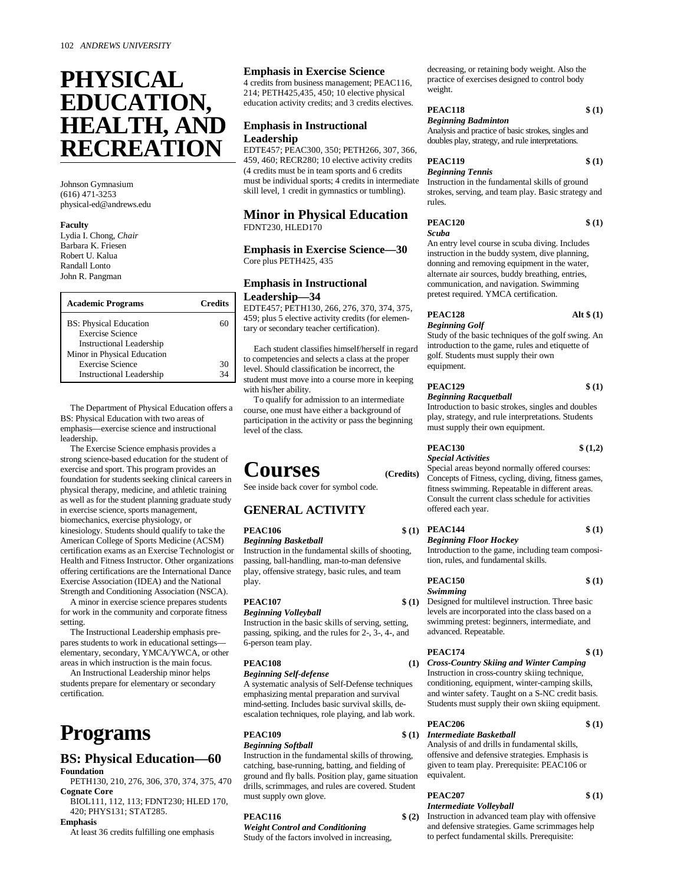# **PHYSICAL EDUCATION, HEALTH, AND RECREATION**

Johnson Gymnasium (616) 471-3253 physical-ed@andrews.edu

#### **Faculty**

Lydia I. Chong, *Chair* Barbara K. Friesen Robert U. Kalua Randall Lonto John R. Pangman

| <b>Academic Programs</b>        | <b>Credits</b> |
|---------------------------------|----------------|
| <b>BS: Physical Education</b>   | 60             |
| <b>Exercise Science</b>         |                |
| <b>Instructional Leadership</b> |                |
| Minor in Physical Education     |                |
| <b>Exercise Science</b>         | 30             |
| <b>Instructional Leadership</b> | 34             |

The Department of Physical Education offers a BS: Physical Education with two areas of emphasis— exercise science and instructional leadership.

The Exercise Science emphasis provides a strong science-based education for the student of exercise and sport. This program provides an foundation for students seeking clinical careers in physical therapy, medicine, and athletic training as well as for the student planning graduate study in exercise science, sports management, biomechanics, exercise physiology, or kinesiology. Students should qualify to take the American College of Sports Medicine (ACSM) certification exams as an Exercise Technologist or Health and Fitness Instructor. Other organizations offering certifications are the International Dance Exercise Association (IDEA) and the National Strength and Conditioning Association (NSCA).

A minor in exercise science prepares students for work in the community and corporate fitness setting.

The Instructional Leadership emphasis prepares students to work in educational settings elementary, secondary, YMCA/YWCA, or other areas in which instruction is the main focus.

An Instructional Leadership minor helps students prepare for elementary or secondary certification.

# **Programs**

# **BS: Physical Education—60 Foundation**

PETH130, 210, 276, 306, 370, 374, 375, 470 **Cognate Core**

BIOL111, 112, 113; FDNT230; HLED 170, 420; PHYS131; STAT285.

#### **Emphasis**

At least 36 credits fulfilling one emphasis

# **Emphasis in Exercise Science**

4 credits from business management; PEAC116, 214; PETH425,435, 450; 10 elective physical education activity credits; and 3 credits electives.

# **Emphasis in Instructional Leadership**

EDTE457; PEAC300, 350; PETH266, 307, 366, 459, 460; RECR280; 10 elective activity credits (4 credits must be in team sports and 6 credits must be individual sports; 4 credits in intermediate skill level, 1 credit in gymnastics or tumbling).

# **Minor in Physical Education** FDNT230, HLED170

**Emphasis in Exercise Science— 30** Core plus PETH425, 435

# **Emphasis in Instructional Leadership— 34**

EDTE457; PETH130, 266, 276, 370, 374, 375, 459; plus 5 elective activity credits (for elementary or secondary teacher certification).

Each student classifies himself/herself in regard to competencies and selects a class at the proper level. Should classification be incorrect, the student must move into a course more in keeping with his/her ability.

To qualify for admission to an intermediate course, one must have either a background of participation in the activity or pass the beginning level of the class.

# **Courses (Credits)**

See inside back cover for symbol code.

# **GENERAL ACTIVITY**

#### **PEAC106**

*Beginning Basketball*

Instruction in the fundamental skills of shooting, passing, ball-handling, man-to-man defensive play, offensive strategy, basic rules, and team play.

# **PEAC107 \$ (1)**

# *Beginning Volleyball* Instruction in the basic skills of serving, setting,

passing, spiking, and the rules for 2-, 3-, 4-, and 6-person team play.

# **PEAC108 (1)**

*Beginning Self-defense* A systematic analysis of Self-Defense techniques emphasizing mental preparation and survival mind-setting. Includes basic survival skills, deescalation techniques, role playing, and lab work.

# **PEAC109**

*Beginning Softball* Instruction in the fundamental skills of throwing, catching, base-running, batting, and fielding of ground and fly balls. Position play, game situation drills, scrimmages, and rules are covered. Student must supply own glove.

# **PEAC116 \$ (2)**

*Weight Control and Conditioning* Study of the factors involved in increasing, decreasing, or retaining body weight. Also the practice of exercises designed to control body weight.

### **PEAC118 \$ (1)** *Beginning Badminton*

Analysis and practice of basic strokes, singles and doubles play, strategy, and rule interpretations.

# **PEAC119 \$ (1)**

# *Beginning Tennis*

Instruction in the fundamental skills of ground strokes, serving, and team play. Basic strategy and rules.

| <b>PEAC120</b> | \$(1) |
|----------------|-------|
| Scuba          |       |

An entry level course in scuba diving. Includes instruction in the buddy system, dive planning, donning and removing equipment in the water, alternate air sources, buddy breathing, entries, communication, and navigation. Swimming pretest required. YMCA certification.

# **PEAC128 Alt \$ (1)** *Beginning Golf*

Study of the basic techniques of the golf swing. An introduction to the game, rules and etiquette of golf. Students must supply their own equipment.

# **PEAC129 \$ (1)** *Beginning Racquetball*

Introduction to basic strokes, singles and doubles play, strategy, and rule interpretations. Students must supply their own equipment.

Special areas beyond normally offered courses: Concepts of Fitness, cycling, diving, fitness games, fitness swimming. Repeatable in different areas. Consult the current class schedule for activities offered each year.

#### **\$** (1) **PEAC144 \$** (1) *Beginning Floor Hockey*

Introduction to the game, including team composition, rules, and fundamental skills.

## **PEAC150 \$ (1)** *Swimming*

Designed for multilevel instruction. Three basic levels are incorporated into the class based on a swimming pretest: beginners, intermediate, and advanced. Repeatable.

| PEAC174 |  |  |  |             | \$(1) |  |
|---------|--|--|--|-------------|-------|--|
|         |  |  |  | $- - - - -$ |       |  |

*Cross-Country Skiing and Winter Camping* Instruction in cross-country skiing technique, conditioning, equipment, winter-camping skills, and winter safety. Taught on a S-NC credit basis. Students must supply their own skiing equipment.

# **PEAC206 \$ (1)** *Intermediate Basketball*

Analysis of and drills in fundamental skills, offensive and defensive strategies. Emphasis is given to team play. Prerequisite: PEAC106 or equivalent.

# **PEAC207 \$ (1)**

*Intermediate Volleyball* Instruction in advanced team play with offensive and defensive strategies. Game scrimmages help

to perfect fundamental skills. Prerequisite:

**PEAC130 \$ (1,2)** *Special Activities*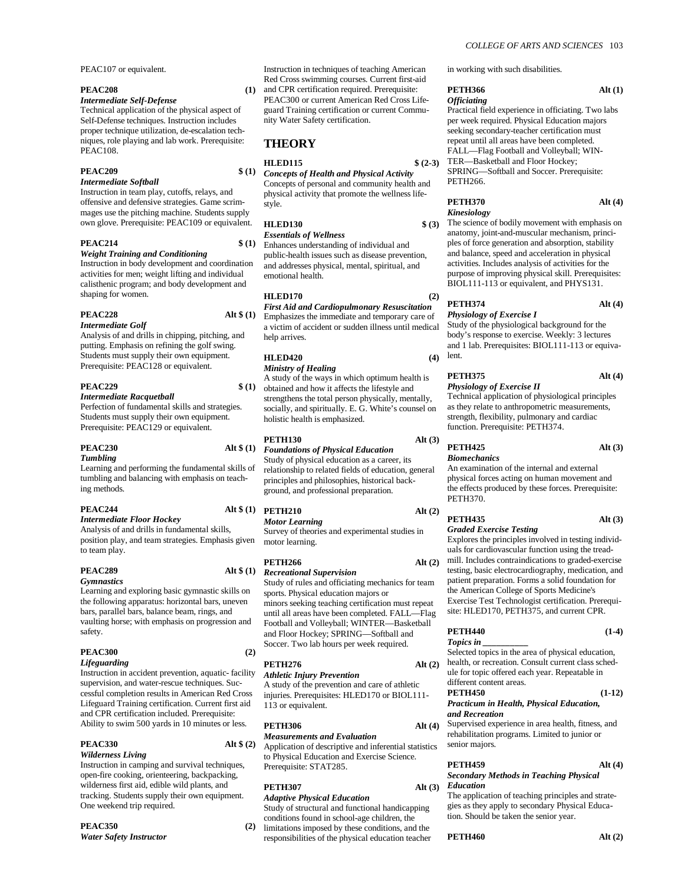PEAC107 or equivalent.

#### **PEAC208 (1)**

# *Intermediate Self-Defense*

Technical application of the physical aspect of Self-Defense techniques. Instruction includes proper technique utilization, de-escalation techniques, role playing and lab work. Prerequisite: PEAC108.

#### **PEAC209 \$ (1)**

### *Intermediate Softball*

Instruction in team play, cutoffs, relays, and offensive and defensive strategies. Game scrimmages use the pitching machine. Students supply own glove. Prerequisite: PEAC109 or equivalent.

### **PEAC214 \$ (1)**

*Weight Training and Conditioning* Instruction in body development and coordination activities for men; weight lifting and individual calisthenic program; and body development and shaping for women.

### **PEAC228 Alt \$ (1)**

#### *Intermediate Golf*

Analysis of and drills in chipping, pitching, and putting. Emphasis on refining the golf swing. Students must supply their own equipment. Prerequisite: PEAC128 or equivalent.

#### $PEAC229$

#### *Intermediate Racquetball*

Perfection of fundamental skills and strategies. Students must supply their own equipment. Prerequisite: PEAC129 or equivalent.

# **PEAC230 Alt \$ (1)**

## *Tumbling*

Learning and performing the fundamental skills of tumbling and balancing with emphasis on teaching methods.

# *Intermediate Floor Hockey*

Analysis of and drills in fundamental skills, position play, and team strategies. Emphasis given to team play.

# **PEAC289 Alt \$ (1)**

### *Gymnastics*

Learning and exploring basic gymnastic skills on the following apparatus: horizontal bars, uneven bars, parallel bars, balance beam, rings, and vaulting horse; with emphasis on progression and safety.

### **PEAC300 (2)**

#### *Lifeguarding*

Instruction in accident prevention, aquatic- facility supervision, and water-rescue techniques. Successful completion results in American Red Cross Lifeguard Training certification. Current first aid and CPR certification included. Prerequisite: Ability to swim 500 yards in 10 minutes or less.

# **PEAC330 Alt \$ (2)**

# *Wilderness Living*

Instruction in camping and survival techniques, open-fire cooking, orienteering, backpacking, wilderness first aid, edible wild plants, and tracking. Students supply their own equipment. One weekend trip required.

# **PEAC350 (2)**

*Water Safety Instructor*

Instruction in techniques of teaching American Red Cross swimming courses. Current first-aid and CPR certification required. Prerequisite:

PEAC300 or current American Red Cross Lifeguard Training certification or current Community Water Safety certification.

# **THEORY**

# **HLED115 \$ (2-3)**

*Concepts of Health and Physical Activity* Concepts of personal and community health and physical activity that promote the wellness lifestyle.

# **HLED130 \$ (3)**

*Essentials of Wellness* Enhances understanding of individual and public-health issues such as disease prevention, and addresses physical, mental, spiritual, and emotional health.

# **HLED170 (2)**

*First Aid and Cardiopulmonary Resuscitation* Emphasizes the immediate and temporary care of a victim of accident or sudden illness until medical help arrives.

# **HLED420 (4)**

# *Ministry of Healing*

A study of the ways in which optimum health is obtained and how it affects the lifestyle and strengthens the total person physically, mentally, socially, and spiritually. E. G. White's counsel on holistic health is emphasized.

# **PETH130 Alt (3)**

*Foundations of Physical Education* Study of physical education as a career, its relationship to related fields of education, general principles and philosophies, historical background, and professional preparation.

# **PEAC244 Alt \$ (1) PETH210 Alt (2)**

*Motor Learning* Survey of theories and experimental studies in motor learning.

### **PETH266 Alt (2)**

*Recreational Supervision* Study of rules and officiating mechanics for team sports. Physical education majors or minors seeking teaching certification must repeat until all areas have been completed. FALL— Flag

Football and Volleyball; WINTER— Basketball and Floor Hockey; SPRING— Softball and Soccer. Two lab hours per week required.

**PETH276 Alt (2)**

*Athletic Injury Prevention* A study of the prevention and care of athletic injuries. Prerequisites: HLED170 or BIOL111- 113 or equivalent.

# **PETH306 Alt (4)**

*Measurements and Evaluation* Application of descriptive and inferential statistics to Physical Education and Exercise Science. Prerequisite: STAT285.

### **PETH307 Alt (3)**

# *Adaptive Physical Education*

Study of structural and functional handicapping conditions found in school-age children, the limitations imposed by these conditions, and the

responsibilities of the physical education teacher

#### *COLLEGE OF ARTS AND SCIENCES* 103

in working with such disabilities.

### **PETH366 Alt (1)** *Officiating*

Practical field experience in officiating. Two labs per week required. Physical Education majors seeking secondary-teacher certification must repeat until all areas have been completed. FALL— Flag Football and Volleyball; WIN-TER— Basketball and Floor Hockey; SPRING— Softball and Soccer. Prerequisite: PETH266.

# **PETH370 Alt (4)** *Kinesiology*

The science of bodily movement with emphasis on anatomy, joint-and-muscular mechanism, principles of force generation and absorption, stability and balance, speed and acceleration in physical activities. Includes analysis of activities for the purpose of improving physical skill. Prerequisites: BIOL111-113 or equivalent, and PHYS131.

# **PETH374 Alt (4)**

# *Physiology of Exercise I*

Study of the physiological background for the body's response to exercise. Weekly: 3 lectures and 1 lab. Prerequisites: BIOL111-113 or equiva- $(4)$  lent.

#### **PETH375 Alt (4)** *Physiology of Exercise II*

Technical application of physiological principles as they relate to anthropometric measurements, strength, flexibility, pulmonary and cardiac function. Prerequisite: PETH374.

# **PETH425 Alt (3)** *Biomechanics*

An examination of the internal and external physical forces acting on human movement and the effects produced by these forces. Prerequisite:

### **PETH435 Alt (3)** *Graded Exercise Testing*

Explores the principles involved in testing individuals for cardiovascular function using the treadmill. Includes contraindications to graded-exercise testing, basic electrocardiography, medication, and patient preparation. Forms a solid foundation for the American College of Sports Medicine's Exercise Test Technologist certification. Prerequisite: HLED170, PETH375, and current CPR.

#### **PETH440 (1-4)** *Topics in \_\_\_\_\_\_\_\_\_\_*

Selected topics in the area of physical education, health, or recreation. Consult current class schedule for topic offered each year. Repeatable in different content areas.

#### **PETH450 (1-12)** *Practicum in Health, Physical Education, and Recreation*

Supervised experience in area health, fitness, and rehabilitation programs. Limited to junior or senior majors.

# **PETH459 Alt (4)** *Secondary Methods in Teaching Physical*

# *Education* The application of teaching principles and strate-

gies as they apply to secondary Physical Education. Should be taken the senior year.

### **PETH460 Alt (2)**

# PETH370.